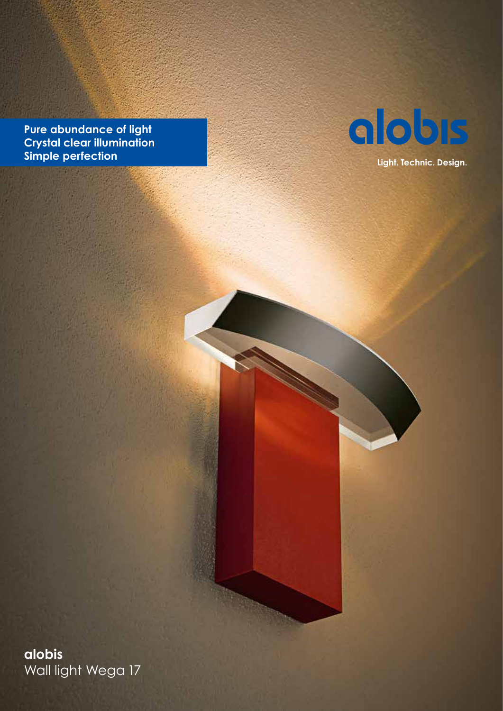**Pure abundance of light Crystal clear illumination Simple perfection**



**Light. Technic. Design.**

**alobis** Wall light Wega 17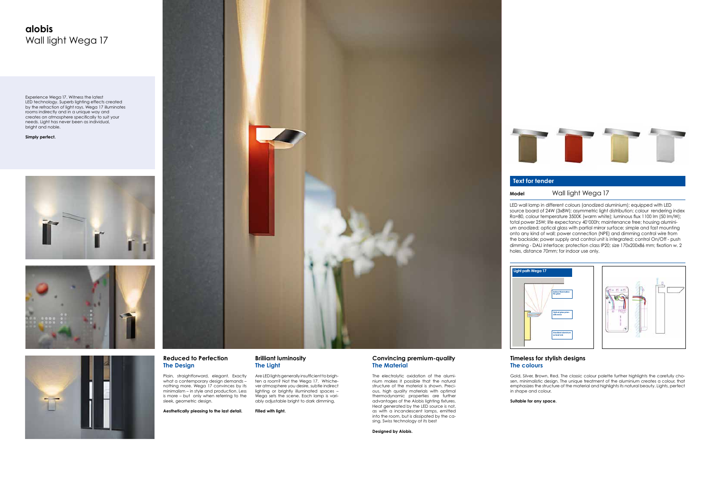### **Reduced to Perfection The Design**

Plain, straightforward, elegant. Exactly what a contemporary design demands nothing more. Wega 17 convinces by its minimalism – in style and production. Less is more – but only when referring to the sleek, geometric design.

**Aesthetically pleasing to the last detail.**

### **Brilliant luminosity The Light**

Are LED lights generally insufficient to brighten a room? Not the Wega 17. Whichever atmosphere you desire, subtle indirect lighting or brightly illuminated spaces – Wega sets the scene. Each lamp is variably adjustable bright to dark dimming.

The electrolytic oxidation of the aluminium makes it possible that the natural structure of the material is shown. Precious, high quality materials with optimal thermodynamic properties are further advantages of the Alobis lighting fixtures. Heat generated by the LED source is not, as with a incandescent lamps, emitted into the room, but is dissipated by the casing. Swiss technology at its best

**Filled with light.**

# **Light path Wega 17**





# **alobis** Wall light Wega 17

### **Timeless for stylish designs The colours**

Gold, Silver, Brown, Red. The classic colour palette further highlights the carefully chosen, minimalistic design. The unique treatment of the aluminium creates a colour, that emphasizes the structure of the material and highlights its natural beauty. Lights, perfect

in shape and colour.

**Suitable for any space.**



### **Convincing premium-quality The Material**





Experience Wega 17. Witness the latest LED technology. Superb lighting effects created by the refraction of light rays. Wega 17 illuminates rooms indirectly and in a unique way and creates an atmosphere specifically to suit your needs. Light has never been as individual, bright and noble.

**Simply perfect.**









## **Text for tender**

## **Model** Wall light Wega 17

LED wall lamp in different colours (anodized aluminium); equipped with LED source board of 24W (3x8W); asymmetric light distribution; colour rendering index Ra=80, colour temperature 3500K (warm white); luminous flux 1100 lm (50 lm/W); total power 25W; life expectancy 40'000h; maintenance free; housing aluminium anodized; optical glass with partial mirror surface; simple and fast mounting onto any kind of wall; power connection (NPE) and dimming control wire from the backside; power supply and control unit is integrated; control On/Off - push dimming - DALI interface; protection class IP20; size 170x200x86 mm; fixation w. 2 holes, distance 70mm; for indoor use only.